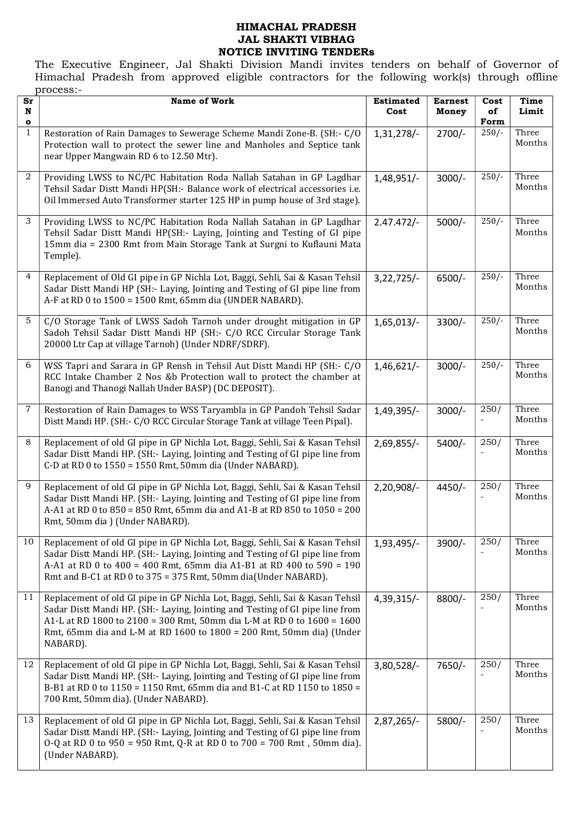### HIMACHAL PRADESH JAL SHAKTI VIBHAG NOTICE INVITING TENDERs

The Executive Engineer, Jal Shakti Division Mandi invites tenders on behalf of Governor of Himachal Pradesh from approved eligible contractors for the following work(s) through offline process:-

| Sr                | <b>Name of Work</b>                                                                                                                                                                                                                                                                                                          | <b>Estimated</b> | <b>Earnest</b> | Cost            | Time            |
|-------------------|------------------------------------------------------------------------------------------------------------------------------------------------------------------------------------------------------------------------------------------------------------------------------------------------------------------------------|------------------|----------------|-----------------|-----------------|
| $\mathbf N$       |                                                                                                                                                                                                                                                                                                                              | Cost             | Money          | of              | Limit           |
| o<br>$\mathbf{1}$ | Restoration of Rain Damages to Sewerage Scheme Mandi Zone-B. (SH:- C/O<br>Protection wall to protect the sewer line and Manholes and Septice tank<br>near Upper Mangwain RD 6 to 12.50 Mtr).                                                                                                                                 | $1,31,278/-$     | $2700/-$       | Form<br>$250/-$ | Three<br>Months |
| $\boldsymbol{2}$  | Providing LWSS to NC/PC Habitation Roda Nallah Satahan in GP Lagdhar<br>Tehsil Sadar Distt Mandi HP(SH:- Balance work of electrical accessories i.e.<br>Oil Immersed Auto Transformer starter 125 HP in pump house of 3rd stage).                                                                                            | 1,48,951/-       | $3000/-$       | $250/-$         | Three<br>Months |
| 3                 | Providing LWSS to NC/PC Habitation Roda Nallah Satahan in GP Lagdhar<br>Tehsil Sadar Distt Mandi HP(SH:- Laying, Jointing and Testing of GI pipe<br>15mm dia = 2300 Rmt from Main Storage Tank at Surgni to Kuflauni Mata<br>Temple).                                                                                        | $2.47.472/-$     | $5000/-$       | $250/-$         | Three<br>Months |
| $\overline{4}$    | Replacement of Old GI pipe in GP Nichla Lot, Baggi, Sehli, Sai & Kasan Tehsil<br>Sadar Distt Mandi HP (SH:- Laying, Jointing and Testing of GI pipe line from<br>A-F at RD 0 to 1500 = 1500 Rmt, 65mm dia (UNDER NABARD).                                                                                                    | $3,22,725/-$     | 6500/-         | $250/-$         | Three<br>Months |
| 5                 | C/O Storage Tank of LWSS Sadoh Tarnoh under drought mitigation in GP<br>Sadoh Tehsil Sadar Distt Mandi HP (SH:- C/O RCC Circular Storage Tank<br>20000 Ltr Cap at village Tarnoh) (Under NDRF/SDRF).                                                                                                                         | 1,65,013/        | 3300/-         | $250/-$         | Three<br>Months |
| 6                 | WSS Tapri and Sarara in GP Rensh in Tehsil Aut Distt Mandi HP (SH:- C/O<br>RCC Intake Chamber 2 Nos &b Protection wall to protect the chamber at<br>Banogi and Thanogi Nallah Under BASP) (DC DEPOSIT).                                                                                                                      | $1,46,621/-$     | $3000/-$       | $250/-$         | Three<br>Months |
| $\overline{7}$    | Restoration of Rain Damages to WSS Taryambla in GP Pandoh Tehsil Sadar<br>Distt Mandi HP. (SH:- C/O RCC Circular Storage Tank at village Teen Pipal).                                                                                                                                                                        | 1,49,395/-       | $3000/-$       | 250/            | Three<br>Months |
| 8                 | Replacement of old GI pipe in GP Nichla Lot, Baggi, Sehli, Sai & Kasan Tehsil<br>Sadar Distt Mandi HP. (SH:- Laying, Jointing and Testing of GI pipe line from<br>C-D at RD 0 to 1550 = 1550 Rmt, 50mm dia (Under NABARD).                                                                                                   | 2,69,855/-       | 5400/-         | 250/            | Three<br>Months |
| 9                 | Replacement of old GI pipe in GP Nichla Lot, Baggi, Sehli, Sai & Kasan Tehsil<br>Sadar Distt Mandi HP. (SH:- Laying, Jointing and Testing of GI pipe line from<br>A-A1 at RD 0 to 850 = 850 Rmt, 65mm dia and A1-B at RD 850 to 1050 = 200<br>Rmt, 50mm dia ) (Under NABARD).                                                | 2,20,908/-       | 4450/-         | 250/            | Three<br>Months |
| 10                | Replacement of old GI pipe in GP Nichla Lot, Baggi, Sehli, Sai & Kasan Tehsil<br>Sadar Distt Mandi HP. (SH:- Laying, Jointing and Testing of GI pipe line from<br>A-A1 at RD 0 to 400 = 400 Rmt, 65mm dia A1-B1 at RD 400 to 590 = 190<br>Rmt and B-C1 at RD 0 to 375 = 375 Rmt, 50mm dia(Under NABARD).                     | 1,93,495/-       | 3900/-         | $\frac{250}{}$  | Three<br>Months |
| 11                | Replacement of old GI pipe in GP Nichla Lot, Baggi, Sehli, Sai & Kasan Tehsil<br>Sadar Distt Mandi HP. (SH:- Laying, Jointing and Testing of GI pipe line from<br>A1-L at RD 1800 to 2100 = 300 Rmt, 50mm dia L-M at RD 0 to 1600 = 1600<br>Rmt, 65mm dia and L-M at RD 1600 to 1800 = 200 Rmt, 50mm dia) (Under<br>NABARD). | 4,39,315/-       | 8800/-         | 250/            | Three<br>Months |
| 12                | Replacement of old GI pipe in GP Nichla Lot, Baggi, Sehli, Sai & Kasan Tehsil<br>Sadar Distt Mandi HP. (SH:- Laying, Jointing and Testing of GI pipe line from<br>B-B1 at RD 0 to 1150 = 1150 Rmt, 65mm dia and B1-C at RD 1150 to 1850 =<br>700 Rmt, 50mm dia). (Under NABARD).                                             | 3,80,528/-       | 7650/-         | 250/            | Three<br>Months |
| 13                | Replacement of old GI pipe in GP Nichla Lot, Baggi, Sehli, Sai & Kasan Tehsil<br>Sadar Distt Mandi HP. (SH:- Laying, Jointing and Testing of GI pipe line from<br>0-Q at RD 0 to 950 = 950 Rmt, Q-R at RD 0 to 700 = 700 Rmt, 50mm dia).<br>(Under NABARD).                                                                  | $2,87,265/-$     | 5800/-         | 250/            | Three<br>Months |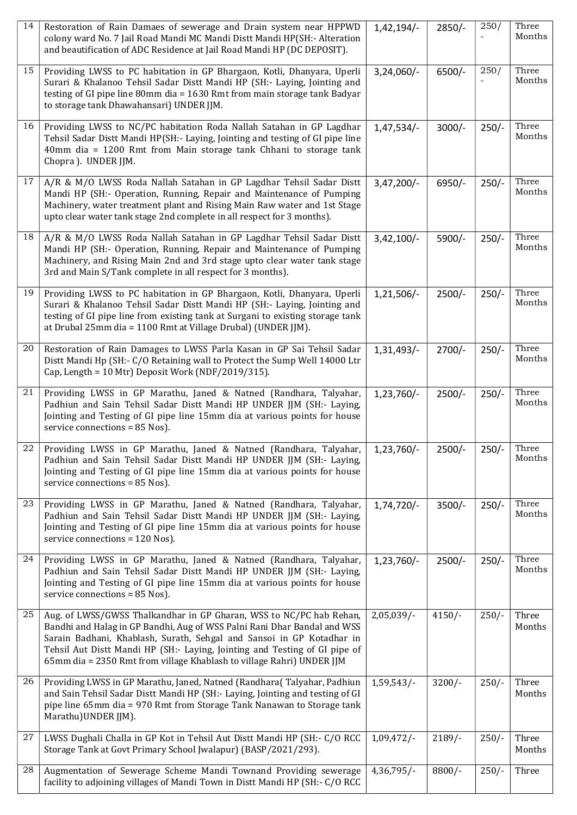| 14 | Restoration of Rain Damaes of sewerage and Drain system near HPPWD<br>colony ward No. 7 Jail Road Mandi MC Mandi Distt Mandi HP(SH:- Alteration<br>and beautification of ADC Residence at Jail Road Mandi HP (DC DEPOSIT).                                                                                                                                                      | $1,42,194/-$  | 2850/-    | 250/    | Three<br>Months |
|----|---------------------------------------------------------------------------------------------------------------------------------------------------------------------------------------------------------------------------------------------------------------------------------------------------------------------------------------------------------------------------------|---------------|-----------|---------|-----------------|
| 15 | Providing LWSS to PC habitation in GP Bhargaon, Kotli, Dhanyara, Uperli<br>Surari & Khalanoo Tehsil Sadar Distt Mandi HP (SH:- Laying, Jointing and<br>testing of GI pipe line 80mm dia = 1630 Rmt from main storage tank Badyar<br>to storage tank Dhawahansari) UNDER JJM.                                                                                                    | $3,24,060/-$  | $6500/-$  | 250/    | Three<br>Months |
| 16 | Providing LWSS to NC/PC habitation Roda Nallah Satahan in GP Lagdhar<br>Tehsil Sadar Distt Mandi HP(SH:- Laying, Jointing and testing of GI pipe line<br>40mm dia = 1200 Rmt from Main storage tank Chhani to storage tank<br>Chopra ). UNDER JJM.                                                                                                                              | $1,47,534/-$  | $3000/-$  | $250/-$ | Three<br>Months |
| 17 | A/R & M/O LWSS Roda Nallah Satahan in GP Lagdhar Tehsil Sadar Distt<br>Mandi HP (SH:- Operation, Running, Repair and Maintenance of Pumping<br>Machinery, water treatment plant and Rising Main Raw water and 1st Stage<br>upto clear water tank stage 2nd complete in all respect for 3 months).                                                                               | $3,47,200/-$  | 6950/-    | $250/-$ | Three<br>Months |
| 18 | A/R & M/O LWSS Roda Nallah Satahan in GP Lagdhar Tehsil Sadar Distt<br>Mandi HP (SH:- Operation, Running, Repair and Maintenance of Pumping<br>Machinery, and Rising Main 2nd and 3rd stage upto clear water tank stage<br>3rd and Main S/Tank complete in all respect for 3 months).                                                                                           | $3,42,100/-$  | 5900/-    | $250/-$ | Three<br>Months |
| 19 | Providing LWSS to PC habitation in GP Bhargaon, Kotli, Dhanyara, Uperli<br>Surari & Khalanoo Tehsil Sadar Distt Mandi HP (SH:- Laying, Jointing and<br>testing of GI pipe line from existing tank at Surgani to existing storage tank<br>at Drubal 25mm dia = 1100 Rmt at Village Drubal) (UNDER JJM).                                                                          | $1,21,506/-$  | $2500/-$  | $250/-$ | Three<br>Months |
| 20 | Restoration of Rain Damages to LWSS Parla Kasan in GP Sai Tehsil Sadar<br>Distt Mandi Hp (SH:- C/O Retaining wall to Protect the Sump Well 14000 Ltr<br>Cap, Length = 10 Mtr) Deposit Work (NDF/2019/315).                                                                                                                                                                      | 1,31,493/-    | $2700/-$  | $250/-$ | Three<br>Months |
| 21 | Providing LWSS in GP Marathu, Janed & Natned (Randhara, Talyahar,<br>Padhiun and Sain Tehsil Sadar Distt Mandi HP UNDER JJM (SH:- Laying,<br>Jointing and Testing of GI pipe line 15mm dia at various points for house<br>service connections = 85 Nos).                                                                                                                        | $1,23,760/-$  | $2500/-$  | $250/-$ | Three<br>Months |
| 22 | Providing LWSS in GP Marathu, Janed & Natned (Randhara, Talyahar,<br>Padhiun and Sain Tehsil Sadar Distt Mandi HP UNDER JJM (SH:- Laying,<br>Jointing and Testing of GI pipe line 15mm dia at various points for house<br>service connections = 85 Nos).                                                                                                                        | 1,23,760/-    | $2500/-$  | $250/-$ | Three<br>Months |
| 23 | Providing LWSS in GP Marathu, Janed & Natned (Randhara, Talyahar,<br>Padhiun and Sain Tehsil Sadar Distt Mandi HP UNDER JJM (SH:- Laying,<br>Jointing and Testing of GI pipe line 15mm dia at various points for house<br>service connections = 120 Nos).                                                                                                                       | $1,74,720/-$  | $3500/-$  | $250/-$ | Three<br>Months |
| 24 | Providing LWSS in GP Marathu, Janed & Natned (Randhara, Talyahar,<br>Padhiun and Sain Tehsil Sadar Distt Mandi HP UNDER JJM (SH:- Laying,<br>Jointing and Testing of GI pipe line 15mm dia at various points for house<br>service connections = 85 Nos).                                                                                                                        | 1,23,760/-    | $2500/-$  | $250/-$ | Three<br>Months |
| 25 | Aug. of LWSS/GWSS Thalkandhar in GP Gharan, WSS to NC/PC hab Rehan,<br>Bandhi and Halag in GP Bandhi, Aug of WSS Palni Rani Dhar Bandal and WSS<br>Sarain Badhani, Khablash, Surath, Sehgal and Sansoi in GP Kotadhar in<br>Tehsil Aut Distt Mandi HP (SH:- Laying, Jointing and Testing of GI pipe of<br>65mm dia = 2350 Rmt from village Khablash to village Rahri) UNDER JJM | $2,05,039/$ - | $4150/-$  | $250/-$ | Three<br>Months |
| 26 | Providing LWSS in GP Marathu, Janed, Natned (Randhara(Talyahar, Padhiun<br>and Sain Tehsil Sadar Distt Mandi HP (SH:- Laying, Jointing and testing of GI<br>pipe line 65mm dia = 970 Rmt from Storage Tank Nanawan to Storage tank<br>Marathu) UNDER JJM).                                                                                                                      | 1,59,543/     | $3200/-$  | $250/-$ | Three<br>Months |
| 27 | LWSS Dughali Challa in GP Kot in Tehsil Aut Distt Mandi HP (SH:- C/O RCC<br>Storage Tank at Govt Primary School Jwalapur) (BASP/2021/293).                                                                                                                                                                                                                                      | $1,09,472/-$  | $2189/$ - | $250/-$ | Three<br>Months |
| 28 | Augmentation of Sewerage Scheme Mandi Townand Providing sewerage<br>facility to adjoining villages of Mandi Town in Distt Mandi HP (SH:- C/O RCC                                                                                                                                                                                                                                | $4,36,795/$ - | $8800/-$  | $250/-$ | Three           |